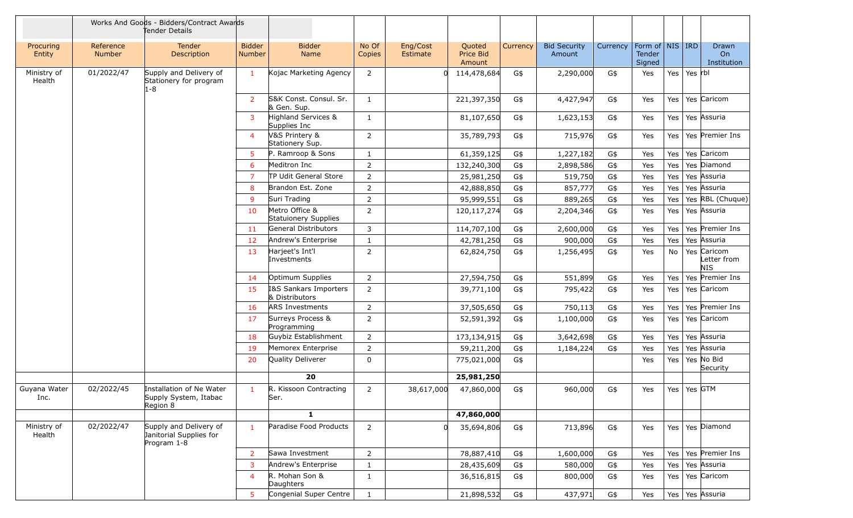|                       |                     | Works And Goods - Bidders/Contract Awards<br>Tender Details      |                                |                                         |                 |                      |                               |          |                               |          |                                                |     |         |                                          |
|-----------------------|---------------------|------------------------------------------------------------------|--------------------------------|-----------------------------------------|-----------------|----------------------|-------------------------------|----------|-------------------------------|----------|------------------------------------------------|-----|---------|------------------------------------------|
| Procuring<br>Entity   | Reference<br>Number | Tender<br>Description                                            | <b>Bidder</b><br><b>Number</b> | <b>Bidder</b><br>Name                   | No Of<br>Copies | Eng/Cost<br>Estimate | Quoted<br>Price Bid<br>Amount | Currency | <b>Bid Security</b><br>Amount | Currency | Form of   NIS   IRD<br><b>Tender</b><br>Signed |     |         | Drawn<br>O <sub>n</sub><br>Institution   |
| Ministry of<br>Health | 01/2022/47          | Supply and Delivery of<br>Stationery for program<br>1-8          | $\mathbf{1}$                   | Kojac Marketing Agency                  | $\overline{2}$  |                      | 114,478,684                   | G\$      | 2,290,000                     | G\$      | Yes                                            | Yes | Yes rbl |                                          |
|                       |                     |                                                                  | $\overline{2}$                 | S&K Const. Consul. Sr.<br>& Gen. Sup.   | $\mathbf{1}$    |                      | 221,397,350                   | G\$      | 4,427,947                     | G\$      | Yes                                            | Yes |         | Yes Caricom                              |
|                       |                     |                                                                  | 3                              | Highland Services &<br>Supplies Inc     | $\mathbf{1}$    |                      | 81,107,650                    | G\$      | 1,623,153                     | G\$      | Yes                                            | Yes |         | Yes Assuria                              |
|                       |                     |                                                                  | $\overline{4}$                 | V&S Printery &<br>Stationery Sup.       | $\overline{2}$  |                      | 35,789,793                    | G\$      | 715,976                       | G\$      | Yes                                            | Yes |         | Yes Premier Ins                          |
|                       |                     |                                                                  | 5                              | P. Ramroop & Sons                       | $\mathbf{1}$    |                      | 61,359,125                    | G\$      | 1,227,182                     | G\$      | Yes                                            | Yes |         | Yes Caricom                              |
|                       |                     |                                                                  | 6                              | Meditron Inc                            | $\overline{2}$  |                      | 132,240,300                   | G\$      | 2,898,586                     | G\$      | Yes                                            | Yes |         | Yes Diamond                              |
|                       |                     |                                                                  | $\overline{7}$                 | TP Udit General Store                   | $\overline{2}$  |                      | 25,981,250                    | G\$      | 519,750                       | G\$      | Yes                                            | Yes |         | Yes Assuria                              |
|                       |                     |                                                                  | 8                              | Brandon Est. Zone                       | $\overline{2}$  |                      | 42,888,850                    | G\$      | 857,777                       | G\$      | Yes                                            | Yes |         | Yes Assuria                              |
|                       |                     |                                                                  | 9                              | Suri Trading                            | $\overline{2}$  |                      | 95,999,551                    | G\$      | 889,265                       | G\$      | Yes                                            | Yes |         | Yes RBL (Chuque)                         |
|                       |                     |                                                                  | 10                             | Metro Office &<br>Statuionery Supplies  | $\overline{2}$  |                      | 120,117,274                   | G\$      | 2,204,346                     | G\$      | Yes                                            | Yes |         | Yes Assuria                              |
|                       |                     |                                                                  | 11                             | General Distributors                    | 3               |                      | 114,707,100                   | G\$      | 2,600,000                     | G\$      | Yes                                            | Yes |         | Yes Premier Ins                          |
|                       |                     |                                                                  | 12                             | Andrew's Enterprise                     | $\mathbf{1}$    |                      | 42,781,250                    | G\$      | 900,000                       | G\$      | Yes                                            | Yes |         | Yes Assuria                              |
|                       |                     |                                                                  | 13                             | Harjeet's Int'l<br>Investments          | $\overline{2}$  |                      | 62,824,750                    | G\$      | 1,256,495                     | G\$      | Yes                                            | No  |         | Yes Caricom<br>Letter from<br><b>NIS</b> |
|                       |                     |                                                                  | 14                             | Optimum Supplies                        | $\overline{2}$  |                      | 27,594,750                    | G\$      | 551,899                       | G\$      | Yes                                            | Yes |         | Yes Premier Ins                          |
|                       |                     |                                                                  | 15                             | I&S Sankars Importers<br>& Distributors | $\overline{2}$  |                      | 39,771,100                    | G\$      | 795,422                       | G\$      | Yes                                            | Yes |         | Yes Caricom                              |
|                       |                     |                                                                  | 16                             | <b>ARS Investments</b>                  | $\overline{2}$  |                      | 37,505,650                    | G\$      | 750,113                       | G\$      | Yes                                            | Yes |         | Yes Premier Ins                          |
|                       |                     |                                                                  | 17                             | Surreys Process &<br>Programming        | $\mathbf{2}$    |                      | 52,591,392                    | G\$      | 1,100,000                     | G\$      | Yes                                            | Yes |         | Yes Caricom                              |
|                       |                     |                                                                  | 18                             | Guybiz Establishment                    | $2^{\circ}$     |                      | 173,134,915                   | G\$      | 3,642,698                     | G\$      | Yes                                            | Yes |         | Yes Assuria                              |
|                       |                     |                                                                  | 19                             | Memorex Enterprise                      | $\overline{2}$  |                      | 59,211,200                    | G\$      | 1,184,224                     | G\$      | Yes                                            | Yes |         | Yes Assuria                              |
|                       |                     |                                                                  | 20                             | Quality Deliverer                       | 0               |                      | 775,021,000                   | G\$      |                               |          | Yes                                            | Yes |         | Yes No Bid<br>Security                   |
|                       |                     |                                                                  |                                | 20                                      |                 |                      | 25,981,250                    |          |                               |          |                                                |     |         |                                          |
| Guyana Water<br>Inc.  | 02/2022/45          | Installation of Ne Water<br>Supply System, Itabac<br>Region 8    | $\mathbf{1}$                   | R. Kissoon Contracting<br>Ser.          | $\overline{2}$  | 38,617,000           | 47,860,000                    | G\$      | 960,000                       | G\$      | Yes                                            | Yes | Yes GTM |                                          |
|                       |                     |                                                                  |                                | $\mathbf{1}$                            |                 |                      | 47,860,000                    |          |                               |          |                                                |     |         |                                          |
| Ministry of<br>Health | 02/2022/47          | Supply and Delivery of<br>Janitorial Supplies for<br>Program 1-8 | $\mathbf{1}$                   | Paradise Food Products                  | $2^{\circ}$     |                      | 35,694,806                    | G\$      | 713,896                       | G\$      | Yes                                            |     |         | Yes   Yes   Diamond                      |
|                       |                     |                                                                  | $\overline{2}$                 | Sawa Investment                         | $2^{\circ}$     |                      | 78,887,410                    | G\$      | 1,600,000                     | G\$      | Yes                                            | Yes |         | Yes Premier Ins                          |
|                       |                     |                                                                  | 3                              | Andrew's Enterprise                     | $\mathbf{1}$    |                      | 28,435,609                    | G\$      | 580,000                       | G\$      | Yes                                            | Yes |         | Yes Assuria                              |
|                       |                     |                                                                  | 4                              | R. Mohan Son &<br>Daughters             | $\mathbf{1}$    |                      | 36,516,815                    | G\$      | 800,000                       | G\$      | Yes                                            | Yes |         | Yes Caricom                              |
|                       |                     |                                                                  | 5                              | Congenial Super Centre                  | $\mathbf{1}$    |                      | 21,898,532                    | G\$      | 437,971                       | G\$      | Yes                                            |     |         | Yes   Yes Assuria                        |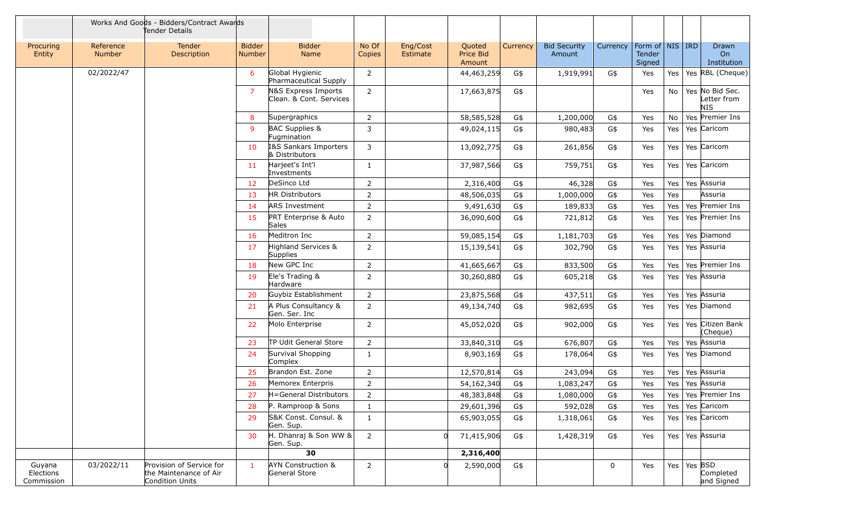|                                   |                     | Works And Goods - Bidders/Contract Awards<br>Tender Details           |                                |                                                |                 |                      |                                      |          |                               |          |                                         |     |                                              |
|-----------------------------------|---------------------|-----------------------------------------------------------------------|--------------------------------|------------------------------------------------|-----------------|----------------------|--------------------------------------|----------|-------------------------------|----------|-----------------------------------------|-----|----------------------------------------------|
| Procuring<br>Entity               | Reference<br>Number | Tender<br>Description                                                 | <b>Bidder</b><br><b>Number</b> | <b>Bidder</b><br>Name                          | No Of<br>Copies | Eng/Cost<br>Estimate | Quoted<br><b>Price Bid</b><br>Amount | Currency | <b>Bid Security</b><br>Amount | Currency | Form of   NIS   IRD<br>Tender<br>Signed |     | Drawn<br>On<br>Institution                   |
|                                   | 02/2022/47          |                                                                       | 6                              | Global Hygienic<br>Pharmaceutical Supply       | 2               |                      | 44,463,259                           | G\$      | 1,919,991                     | G\$      | Yes                                     | Yes | Yes RBL (Cheque)                             |
|                                   |                     |                                                                       | $\overline{7}$                 | N&S Express Imports<br>Clean. & Cont. Services | $\overline{2}$  |                      | 17,663,875                           | G\$      |                               |          | Yes                                     | No. | Yes No Bid Sec.<br>Letter from<br><b>NIS</b> |
|                                   |                     |                                                                       | 8                              | Supergraphics                                  | $\overline{2}$  |                      | 58,585,528                           | G\$      | 1,200,000                     | G\$      | Yes                                     | No  | Yes Premier Ins                              |
|                                   |                     |                                                                       | 9                              | BAC Supplies &<br>Fugmination                  | 3               |                      | 49,024,115                           | G\$      | 980,483                       | G\$      | Yes                                     | Yes | Yes Caricom                                  |
|                                   |                     |                                                                       | 10                             | I&S Sankars Importers<br>& Distributors        | $\overline{3}$  |                      | 13,092,775                           | G\$      | 261,856                       | G\$      | Yes                                     | Yes | Yes Caricom                                  |
|                                   |                     |                                                                       | 11                             | Harjeet's Int'l<br>Investments                 | $\mathbf{1}$    |                      | 37,987,566                           | G\$      | 759,751                       | G\$      | Yes                                     | Yes | Yes Caricom                                  |
|                                   |                     |                                                                       | 12                             | DeSinco Ltd                                    | $\overline{2}$  |                      | 2,316,400                            | G\$      | 46,328                        | G\$      | Yes                                     | Yes | Yes Assuria                                  |
|                                   |                     |                                                                       | 13                             | <b>HR Distributors</b>                         | $\overline{2}$  |                      | 48,506,035                           | G\$      | 1,000,000                     | G\$      | Yes                                     | Yes | Assuria                                      |
|                                   |                     |                                                                       | 14                             | <b>ARS Investment</b>                          | $\overline{2}$  |                      | 9,491,630                            | G\$      | 189,833                       | G\$      | Yes                                     | Yes | Yes Premier Ins                              |
|                                   |                     |                                                                       | 15                             | PRT Enterprise & Auto<br>Sales                 | $\overline{2}$  |                      | 36,090,600                           | G\$      | 721,812                       | G\$      | Yes                                     | Yes | Yes Premier Ins                              |
|                                   |                     |                                                                       | 16                             | Meditron Inc                                   | $\overline{2}$  |                      | 59,085,154                           | G\$      | 1,181,703                     | G\$      | Yes                                     | Yes | Yes Diamond                                  |
|                                   |                     |                                                                       | 17                             | Highland Services &<br>Supplies                | 2               |                      | 15,139,541                           | G\$      | 302,790                       | G\$      | Yes                                     | Yes | Yes Assuria                                  |
|                                   |                     |                                                                       | 18                             | New GPC Inc                                    | $\overline{2}$  |                      | 41,665,667                           | G\$      | 833,500                       | G\$      | Yes                                     | Yes | Yes Premier Ins                              |
|                                   |                     |                                                                       | 19                             | Ele's Trading &<br>Hardware                    | $\overline{2}$  |                      | 30,260,880                           | G\$      | 605,218                       | G\$      | Yes                                     | Yes | Yes Assuria                                  |
|                                   |                     |                                                                       | 20                             | Guybiz Establishment                           | $\overline{2}$  |                      | 23,875,568                           | G\$      | 437,511                       | G\$      | Yes                                     | Yes | Yes Assuria                                  |
|                                   |                     |                                                                       | 21                             | A Plus Consultancy &<br>Gen. Ser. Inc          | $\overline{2}$  |                      | 49,134,740                           | G\$      | 982,695                       | G\$      | Yes                                     | Yes | Yes Diamond                                  |
|                                   |                     |                                                                       | 22                             | Molo Enterprise                                | $\overline{2}$  |                      | 45,052,020                           | G\$      | 902,000                       | G\$      | Yes                                     | Yes | Yes Citizen Bank<br>(Cheque)                 |
|                                   |                     |                                                                       | 23                             | TP Udit General Store                          | $\overline{2}$  |                      | 33,840,310                           | G\$      | 676,807                       | G\$      | Yes                                     | Yes | Yes Assuria                                  |
|                                   |                     |                                                                       | 24                             | Survival Shopping<br>Complex                   | $\mathbf{1}$    |                      | 8,903,169                            | G\$      | 178,064                       | G\$      | Yes                                     | Yes | Yes Diamond                                  |
|                                   |                     |                                                                       | 25                             | Brandon Est. Zone                              | $\overline{2}$  |                      | 12,570,814                           | G\$      | 243,094                       | G\$      | Yes                                     | Yes | Yes Assuria                                  |
|                                   |                     |                                                                       | 26                             | Memorex Enterpris                              | $\overline{2}$  |                      | 54,162,340                           | G\$      | 1,083,247                     | G\$      | Yes                                     |     | Yes   Yes Assuria                            |
|                                   |                     |                                                                       | 27                             | $H =$ General Distributors                     | $\overline{2}$  |                      | 48,383,848                           | G\$      | 1,080,000                     | G\$      | Yes                                     |     | Yes   Yes   Premier Ins                      |
|                                   |                     |                                                                       | 28                             | P. Ramproop & Sons                             | $\mathbf{1}$    |                      | 29,601,396                           | G\$      | 592,028                       | G\$      | Yes                                     |     | Yes   Yes   Caricom                          |
|                                   |                     |                                                                       | 29                             | S&K Const. Consul. &<br>Gen. Sup.              | $\mathbf{1}$    |                      | 65,903,055                           | G\$      | 1,318,061                     | G\$      | Yes                                     |     | Yes   Yes   Caricom                          |
|                                   |                     |                                                                       | 30                             | H. Dhanraj & Son WW &<br>Gen. Sup.             | $\overline{2}$  |                      | 71,415,906                           | G\$      | 1,428,319                     | G\$      | Yes                                     |     | Yes   Yes   Assuria                          |
|                                   |                     |                                                                       |                                | 30                                             |                 |                      | 2,316,400                            |          |                               |          |                                         |     |                                              |
| Guyana<br>Elections<br>Commission | 03/2022/11          | Provision of Service for<br>the Maintenance of Air<br>Condition Units | $\mathbf{1}$                   | AYN Construction &<br>General Store            | $\overline{2}$  |                      | 2,590,000                            | G\$      |                               | 0        | Yes                                     |     | Yes   Yes $ $ BSD<br>Completed<br>and Signed |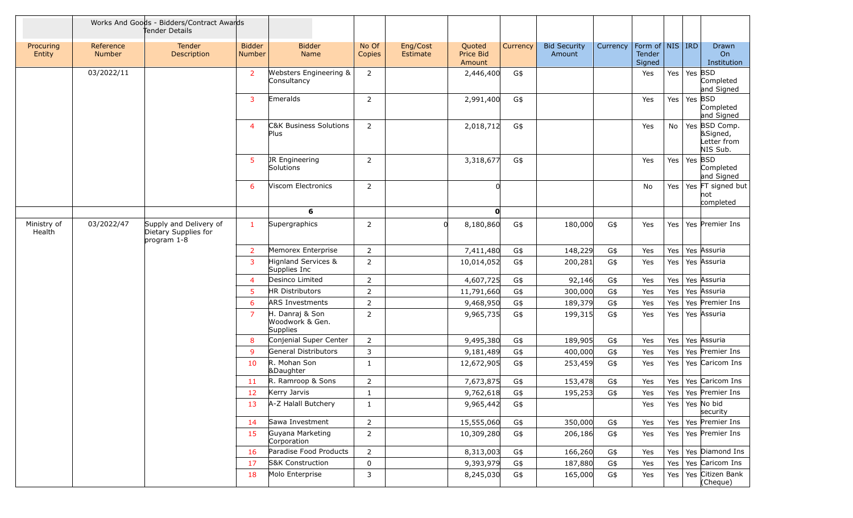|                       |                     | Works And Goods - Bidders/Contract Awards<br>Tender Details     |                         |                                                |                 |                      |                               |          |                               |          |                                                     |         |                    |                                                      |
|-----------------------|---------------------|-----------------------------------------------------------------|-------------------------|------------------------------------------------|-----------------|----------------------|-------------------------------|----------|-------------------------------|----------|-----------------------------------------------------|---------|--------------------|------------------------------------------------------|
| Procuring<br>Entity   | Reference<br>Number | Tender<br>Description                                           | <b>Bidder</b><br>Number | <b>Bidder</b><br>Name                          | No Of<br>Copies | Eng/Cost<br>Estimate | Quoted<br>Price Bid<br>Amount | Currency | <b>Bid Security</b><br>Amount | Currency | Form of $\vert$ NIS $\vert$ IRD<br>Tender<br>Signed |         |                    | Drawn<br>On<br>Institution                           |
|                       | 03/2022/11          |                                                                 | $\overline{2}$          | Websters Engineering &<br>Consultancy          | $\overline{2}$  |                      | 2,446,400                     | G\$      |                               |          | Yes                                                 |         | Yes   Yes $ $ BSD  | Completed<br>and Signed                              |
|                       |                     |                                                                 | 3                       | Emeralds                                       | $\overline{2}$  |                      | 2,991,400                     | G\$      |                               |          | Yes                                                 |         | Yes   Yes $ $ BSD  | Completed<br>and Signed                              |
|                       |                     |                                                                 | $\overline{4}$          | <b>C&amp;K Business Solutions</b><br>Plus      | $2^{\circ}$     |                      | 2,018,712                     | G\$      |                               |          | Yes                                                 | No      |                    | Yes BSD Comp.<br>&Signed,<br>Letter from<br>NIS Sub. |
|                       |                     |                                                                 | 5                       | JR Engineering<br>Solutions                    | $\overline{2}$  |                      | 3,318,677                     | G\$      |                               |          | Yes                                                 |         | Yes   Yes   BSD    | Completed<br>and Signed                              |
|                       |                     |                                                                 | 6                       | Viscom Electronics                             | $\overline{2}$  |                      |                               |          |                               |          | No                                                  |         |                    | Yes   Yes   FT signed but  <br>not<br>completed      |
|                       |                     |                                                                 |                         | 6                                              |                 |                      | $\mathbf{0}$                  |          |                               |          |                                                     |         |                    |                                                      |
| Ministry of<br>Health | 03/2022/47          | Supply and Delivery of<br>Dietary Supplies for<br>$program 1-8$ | $\mathbf{1}$            | Supergraphics                                  | $\overline{2}$  |                      | 8,180,860                     | G\$      | 180,000                       | G\$      | Yes                                                 | Yes $ $ |                    | Yes Premier Ins                                      |
|                       |                     |                                                                 | $\overline{2}$          | Memorex Enterprise                             | $\overline{2}$  |                      | 7,411,480                     | G\$      | 148,229                       | G\$      | Yes                                                 | Yes     | Yes Assuria        |                                                      |
|                       |                     |                                                                 | 3                       | Hignland Services &<br>Supplies Inc            | $\overline{2}$  |                      | 10,014,052                    | G\$      | 200,281                       | G\$      | Yes                                                 | Yes     | Yes Assuria        |                                                      |
|                       |                     |                                                                 | $\overline{4}$          | Desinco Limited                                | $\overline{2}$  |                      | 4,607,725                     | G\$      | 92,146                        | G\$      | Yes                                                 | Yes     | Yes Assuria        |                                                      |
|                       |                     |                                                                 | 5 <sup>1</sup>          | HR Distributors                                | $\overline{2}$  |                      | 11,791,660                    | G\$      | 300,000                       | G\$      | Yes                                                 | Yes     | Yes Assuria        |                                                      |
|                       |                     |                                                                 | 6                       | <b>ARS Investments</b>                         | $\overline{2}$  |                      | 9,468,950                     | G\$      | 189,379                       | G\$      | Yes                                                 | Yes     |                    | Yes Premier Ins                                      |
|                       |                     |                                                                 | $\overline{7}$          | H. Danraj & Son<br>Woodwork & Gen.<br>Supplies | $\overline{2}$  |                      | 9,965,735                     | G\$      | 199,315                       | G\$      | Yes                                                 | Yes     | Yes Assuria        |                                                      |
|                       |                     |                                                                 | 8                       | Conjenial Super Center                         | $\overline{2}$  |                      | 9,495,380                     | G\$      | 189,905                       | G\$      | Yes                                                 |         | Yes   Yes Assuria  |                                                      |
|                       |                     |                                                                 | 9                       | General Distributors                           | 3               |                      | 9,181,489                     | G\$      | 400,000                       | G\$      | Yes                                                 | Yes     |                    | Yes Premier Ins                                      |
|                       |                     |                                                                 | 10                      | R. Mohan Son<br><b>&amp;Daughter</b>           | $\mathbf{1}$    |                      | 12,672,905                    | G\$      | 253,459                       | G\$      | Yes                                                 | Yes     |                    | Yes Caricom Ins                                      |
|                       |                     |                                                                 | 11                      | R. Ramroop & Sons                              | $\overline{2}$  |                      | 7,673,875                     | G\$      | 153,478                       | G\$      | Yes                                                 | Yes     |                    | Yes Caricom Ins                                      |
|                       |                     |                                                                 | 12                      | Kerry Jarvis                                   | $\mathbf{1}$    |                      | 9,762,618                     | G\$      | 195,253                       | G\$      | Yes                                                 |         |                    | Yes   Yes   Premier Ins                              |
|                       |                     |                                                                 | 13                      | A-Z Halall Butchery                            | 1               |                      | 9,965,442                     | G\$      |                               |          | Yes                                                 |         | Yes   Yes   No bid | security                                             |
|                       |                     |                                                                 | 14                      | Sawa Investment                                | $\overline{2}$  |                      | 15,555,060                    | G\$      | 350,000                       | G\$      | Yes                                                 | Yes     |                    | Yes Premier Ins                                      |
|                       |                     |                                                                 | 15                      | Guyana Marketing<br>Corporation                | $\overline{2}$  |                      | 10,309,280                    | G\$      | 206,186                       | G\$      | Yes                                                 | Yes     |                    | Yes Premier Ins                                      |
|                       |                     |                                                                 | 16                      | Paradise Food Products                         | $\overline{2}$  |                      | 8,313,003                     | G\$      | 166,260                       | G\$      | Yes                                                 | Yes     |                    | Yes Diamond Ins                                      |
|                       |                     |                                                                 | 17                      | S&K Construction                               | $\pmb{0}$       |                      | 9,393,979                     | G\$      | 187,880                       | G\$      | Yes                                                 | Yes     |                    | Yes Caricom Ins                                      |
|                       |                     |                                                                 | 18                      | Molo Enterprise                                | 3               |                      | 8,245,030                     | G\$      | 165,000                       | G\$      | Yes                                                 | Yes $ $ |                    | Yes Citizen Bank<br>(Cheque)                         |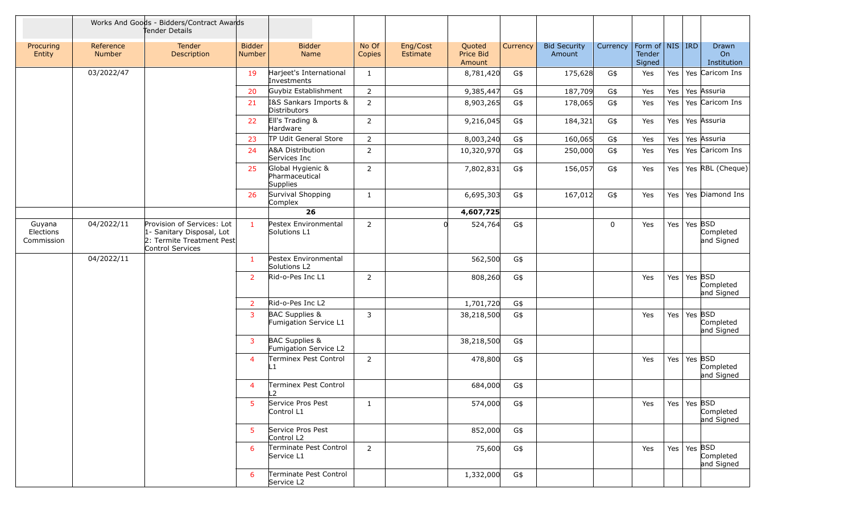|                                   |                            | Works And Goods - Bidders/Contract Awards<br>Tender Details                                              |                                |                                                        |                 |                      |                               |          |                               |          |                                                 |                 |                                              |
|-----------------------------------|----------------------------|----------------------------------------------------------------------------------------------------------|--------------------------------|--------------------------------------------------------|-----------------|----------------------|-------------------------------|----------|-------------------------------|----------|-------------------------------------------------|-----------------|----------------------------------------------|
| Procuring<br>Entity               | Reference<br><b>Number</b> | Tender<br>Description                                                                                    | <b>Bidder</b><br><b>Number</b> | <b>Bidder</b><br>Name                                  | No Of<br>Copies | Eng/Cost<br>Estimate | Quoted<br>Price Bid<br>Amount | Currency | <b>Bid Security</b><br>Amount | Currency | $ $ Form of $ $ NIS $ $ IRD<br>Tender<br>Signed |                 | Drawn<br>On<br>Institution                   |
|                                   | 03/2022/47                 |                                                                                                          | 19                             | Harjeet's International<br>Investments                 | 1               |                      | 8,781,420                     | G\$      | 175,628                       | G\$      | Yes                                             | Yes             | Yes Caricom Ins                              |
|                                   |                            |                                                                                                          | 20                             | Guybiz Establishment                                   | $\overline{2}$  |                      | 9,385,447                     | G\$      | 187,709                       | G\$      | Yes                                             | Yes             | Yes Assuria                                  |
|                                   |                            |                                                                                                          | 21                             | I&S Sankars Imports &<br>Distributors                  | $\overline{2}$  |                      | 8,903,265                     | G\$      | 178,065                       | G\$      | Yes                                             | Yes             | Yes Caricom Ins                              |
|                                   |                            |                                                                                                          | 22                             | Ell's Trading &<br>Hardware                            | $\overline{2}$  |                      | 9,216,045                     | G\$      | 184,321                       | G\$      | Yes                                             | Yes $ $         | Yes Assuria                                  |
|                                   |                            |                                                                                                          | 23                             | TP Udit General Store                                  | $\overline{2}$  |                      | 8,003,240                     | G\$      | 160,065                       | G\$      | Yes                                             | Yes $ $         | Yes Assuria                                  |
|                                   |                            |                                                                                                          | 24                             | A&A Distribution<br>Services Inc                       | $\overline{2}$  |                      | 10,320,970                    | G\$      | 250,000                       | G\$      | Yes                                             | Yes             | Yes Caricom Ins                              |
|                                   |                            |                                                                                                          | 25                             | Global Hygienic &<br>Pharmaceutical<br><b>Supplies</b> | $\overline{2}$  |                      | 7,802,831                     | G\$      | 156,057                       | G\$      | Yes                                             | Yes             | Yes RBL (Cheque)                             |
|                                   |                            |                                                                                                          | 26                             | Survival Shopping<br>Complex                           | 1               |                      | 6,695,303                     | G\$      | 167,012                       | G\$      | Yes                                             |                 | Yes   Yes   Diamond Ins                      |
|                                   |                            |                                                                                                          |                                | $\overline{26}$                                        |                 |                      | 4,607,725                     |          |                               |          |                                                 |                 |                                              |
| Guyana<br>Elections<br>Commission | 04/2022/11                 | Provision of Services: Lot<br>1- Sanitary Disposal, Lot<br>2: Termite Treatment Pest<br>Control Services | $\mathbf{1}$                   | Pestex Environmental<br>Solutions L1                   | $\overline{2}$  |                      | 524,764                       | G\$      |                               | $\Omega$ | Yes                                             |                 | Yes   Yes   BSD<br>Completed<br>and Signed   |
|                                   | 04/2022/11                 |                                                                                                          | $\mathbf{1}$                   | Pestex Environmental<br>Solutions L2                   |                 |                      | 562,500                       | G\$      |                               |          |                                                 |                 |                                              |
|                                   |                            |                                                                                                          | $\overline{2}$                 | Rid-o-Pes Inc L1                                       | $\overline{2}$  |                      | 808,260                       | G\$      |                               |          | Yes                                             |                 | Yes   Yes $ $ BSD<br>Completed<br>and Signed |
|                                   |                            |                                                                                                          | $\overline{2}$                 | Rid-o-Pes Inc L2                                       |                 |                      | 1,701,720                     | G\$      |                               |          |                                                 |                 |                                              |
|                                   |                            |                                                                                                          | 3                              | BAC Supplies &<br>Fumigation Service L1                | 3               |                      | 38,218,500                    | G\$      |                               |          | Yes                                             | Yes   Yes   BSD | Completed<br>and Signed                      |
|                                   |                            |                                                                                                          | 3                              | BAC Supplies &<br>Fumigation Service L2                |                 |                      | 38,218,500                    | G\$      |                               |          |                                                 |                 |                                              |
|                                   |                            |                                                                                                          | $\overline{4}$                 | Terminex Pest Control<br>L1                            | $\overline{2}$  |                      | 478,800                       | G\$      |                               |          | Yes                                             | Yes   Yes   BSD | Completed<br>and Signed                      |
|                                   |                            |                                                                                                          | 4                              | Terminex Pest Control<br>L2                            |                 |                      | 684,000                       | G\$      |                               |          |                                                 |                 |                                              |
|                                   |                            |                                                                                                          | 5                              | Service Pros Pest<br>Control L1                        | 1               |                      | 574,000                       | G\$      |                               |          | Yes                                             |                 | Yes   Yes $ $ BSD<br>Completed<br>and Signed |
|                                   |                            |                                                                                                          | 5                              | Service Pros Pest<br>Control L2                        |                 |                      | 852,000                       | G\$      |                               |          |                                                 |                 |                                              |
|                                   |                            |                                                                                                          | 6                              | Terminate Pest Control<br>Service L1                   | $\overline{2}$  |                      | 75,600                        | G\$      |                               |          | Yes                                             |                 | Yes   Yes $ $ BSD<br>Completed<br>and Signed |
|                                   |                            |                                                                                                          | 6                              | Terminate Pest Control<br>Service L2                   |                 |                      | 1,332,000                     | G\$      |                               |          |                                                 |                 |                                              |